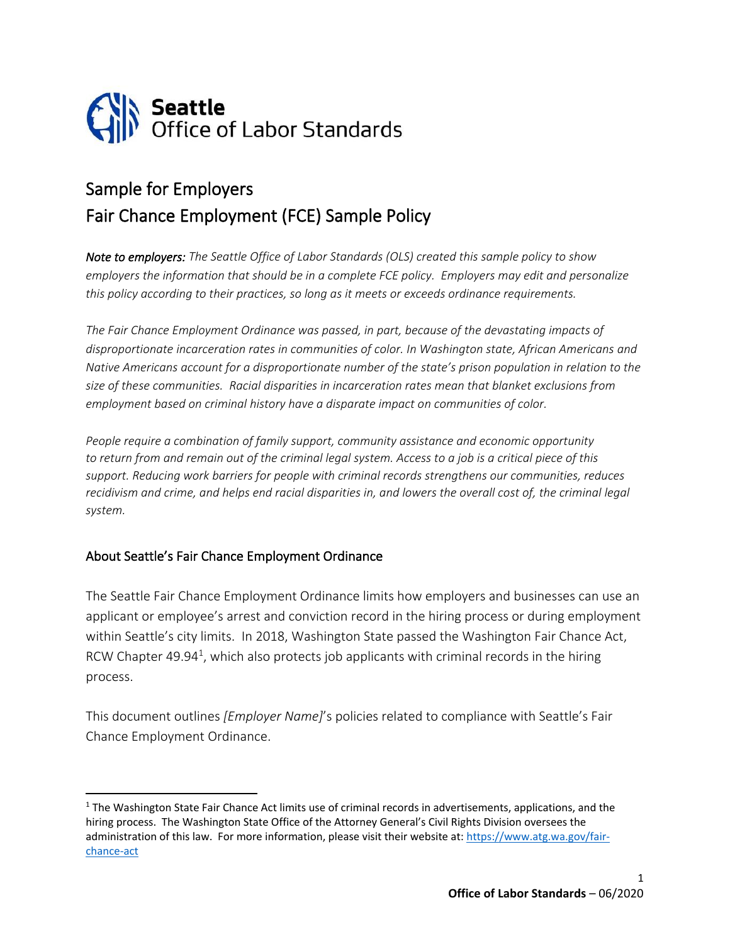

## Sample for Employers Fair Chance Employment (FCE) Sample Policy

*Note to employers: The Seattle Office of Labor Standards (OLS) created this sample policy to show employers the information that should be in a complete FCE policy. Employers may edit and personalize this policy according to their practices, so long as it meets or exceeds ordinance requirements.* 

*The Fair Chance Employment Ordinance was passed, in part, because of the devastating impacts of disproportionate incarceration rates in communities of color. In Washington state, African Americans and Native Americans account for a disproportionate number of the state's prison population in relation to the size of these communities. Racial disparities in incarceration rates mean that blanket exclusions from employment based on criminal history have a disparate impact on communities of color.*

*People require a combination of family support, community assistance and economic opportunity to return from and remain out of the criminal legal system. Access to a job is a critical piece of this support. Reducing work barriers for people with criminal records strengthens our communities, reduces recidivism and crime, and helps end racial disparities in, and lowers the overall cost of, the criminal legal system.*

## About Seattle's Fair Chance Employment Ordinance

The Seattle Fair Chance Employment Ordinance limits how employers and businesses can use an applicant or employee's arrest and conviction record in the hiring process or during employment within Seattle's city limits. In 2018, Washington State passed the Washington Fair Chance Act, RCW Chapter 49.94<sup>1</sup>, which also protects job applicants with criminal records in the hiring process.

This document outlines *[Employer Name]*'s policies related to compliance with Seattle's Fair Chance Employment Ordinance.

<sup>&</sup>lt;sup>1</sup> The Washington State Fair Chance Act limits use of criminal records in advertisements, applications, and the hiring process. The Washington State Office of the Attorney General's Civil Rights Division oversees the administration of this law. For more information, please visit their website at[: https://www.atg.wa.gov/fair](https://www.atg.wa.gov/fair-chance-act)[chance-act](https://www.atg.wa.gov/fair-chance-act)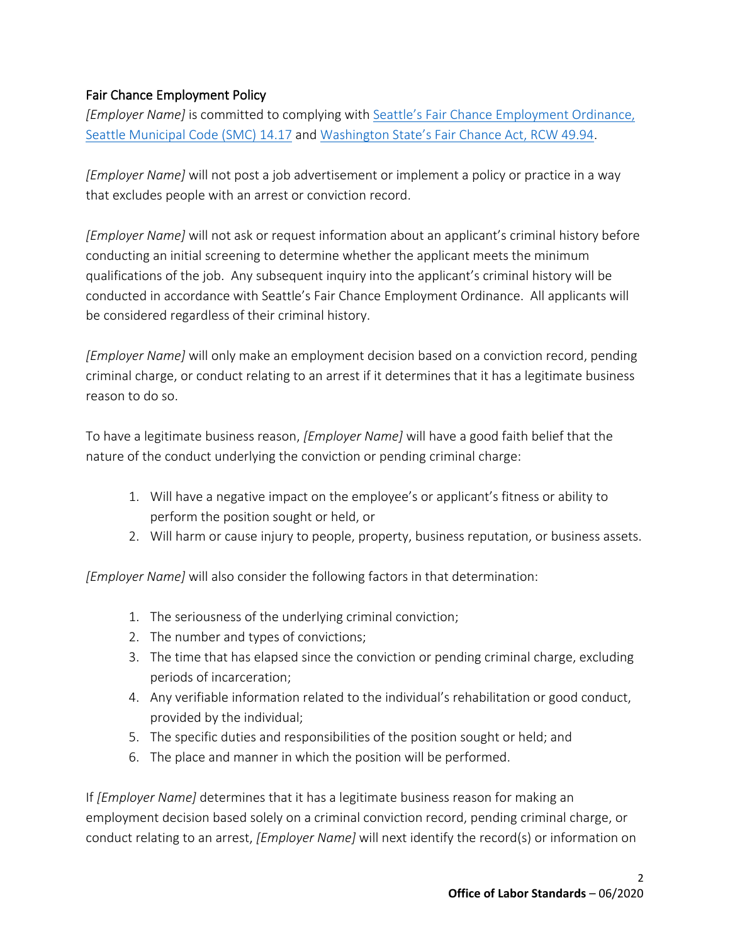## Fair Chance Employment Policy

*[Employer Name]* is committed to complying with [Seattle's Fair Chance Employment Ordinance,](https://library.municode.com/wa/seattle/codes/municipal_code?nodeId=TIT14HURI_CH14.17THUSCRHIEMDE)  [Seattle Municipal Code \(SMC\) 14.17](https://library.municode.com/wa/seattle/codes/municipal_code?nodeId=TIT14HURI_CH14.17THUSCRHIEMDE) and [Washington State's Fair Chance Act, RCW 49.94](https://app.leg.wa.gov/RCW/default.aspx?cite=49.94).

*[Employer Name]* will not post a job advertisement or implement a policy or practice in a way that excludes people with an arrest or conviction record.

*[Employer Name]* will not ask or request information about an applicant's criminal history before conducting an initial screening to determine whether the applicant meets the minimum qualifications of the job. Any subsequent inquiry into the applicant's criminal history will be conducted in accordance with Seattle's Fair Chance Employment Ordinance. All applicants will be considered regardless of their criminal history.

*[Employer Name]* will only make an employment decision based on a conviction record, pending criminal charge, or conduct relating to an arrest if it determines that it has a legitimate business reason to do so.

To have a legitimate business reason, *[Employer Name]* will have a good faith belief that the nature of the conduct underlying the conviction or pending criminal charge:

- 1. Will have a negative impact on the employee's or applicant's fitness or ability to perform the position sought or held, or
- 2. Will harm or cause injury to people, property, business reputation, or business assets.

*[Employer Name]* will also consider the following factors in that determination:

- 1. The seriousness of the underlying criminal conviction;
- 2. The number and types of convictions;
- 3. The time that has elapsed since the conviction or pending criminal charge, excluding periods of incarceration;
- 4. Any verifiable information related to the individual's rehabilitation or good conduct, provided by the individual;
- 5. The specific duties and responsibilities of the position sought or held; and
- 6. The place and manner in which the position will be performed.

If *[Employer Name]* determines that it has a legitimate business reason for making an employment decision based solely on a criminal conviction record, pending criminal charge, or conduct relating to an arrest, *[Employer Name]* will next identify the record(s) or information on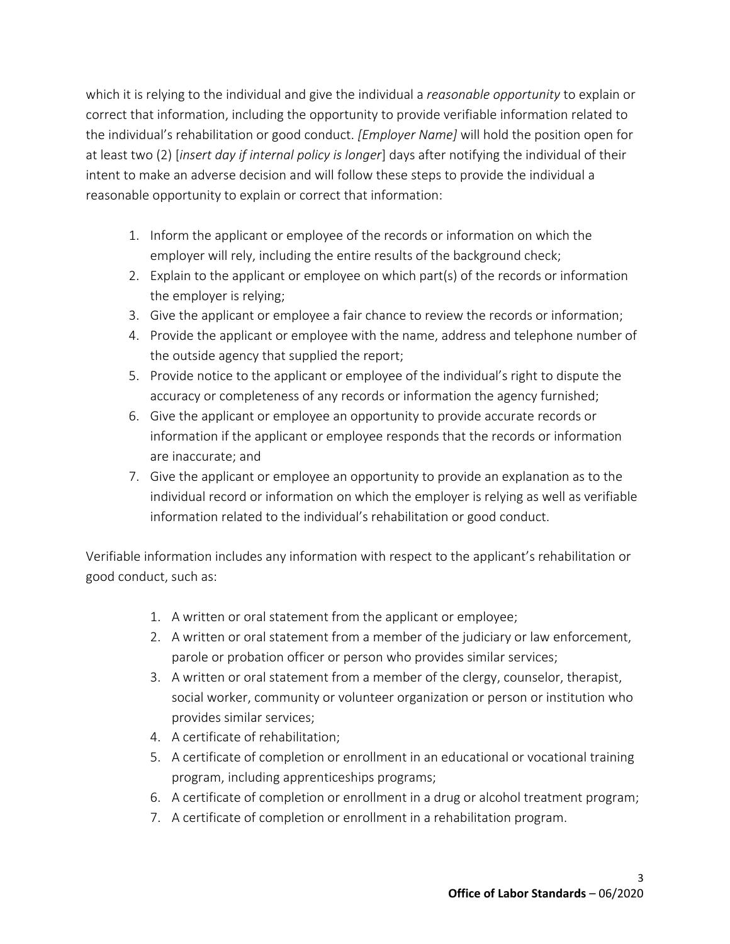which it is relying to the individual and give the individual a *reasonable opportunity* to explain or correct that information, including the opportunity to provide verifiable information related to the individual's rehabilitation or good conduct. *[Employer Name]* will hold the position open for at least two (2) [*insert day if internal policy is longer*] days after notifying the individual of their intent to make an adverse decision and will follow these steps to provide the individual a reasonable opportunity to explain or correct that information:

- 1. Inform the applicant or employee of the records or information on which the employer will rely, including the entire results of the background check;
- 2. Explain to the applicant or employee on which part(s) of the records or information the employer is relying;
- 3. Give the applicant or employee a fair chance to review the records or information;
- 4. Provide the applicant or employee with the name, address and telephone number of the outside agency that supplied the report;
- 5. Provide notice to the applicant or employee of the individual's right to dispute the accuracy or completeness of any records or information the agency furnished;
- 6. Give the applicant or employee an opportunity to provide accurate records or information if the applicant or employee responds that the records or information are inaccurate; and
- 7. Give the applicant or employee an opportunity to provide an explanation as to the individual record or information on which the employer is relying as well as verifiable information related to the individual's rehabilitation or good conduct.

Verifiable information includes any information with respect to the applicant's rehabilitation or good conduct, such as:

- 1. A written or oral statement from the applicant or employee;
- 2. A written or oral statement from a member of the judiciary or law enforcement, parole or probation officer or person who provides similar services;
- 3. A written or oral statement from a member of the clergy, counselor, therapist, social worker, community or volunteer organization or person or institution who provides similar services;
- 4. A certificate of rehabilitation;
- 5. A certificate of completion or enrollment in an educational or vocational training program, including apprenticeships programs;
- 6. A certificate of completion or enrollment in a drug or alcohol treatment program;
- 7. A certificate of completion or enrollment in a rehabilitation program.